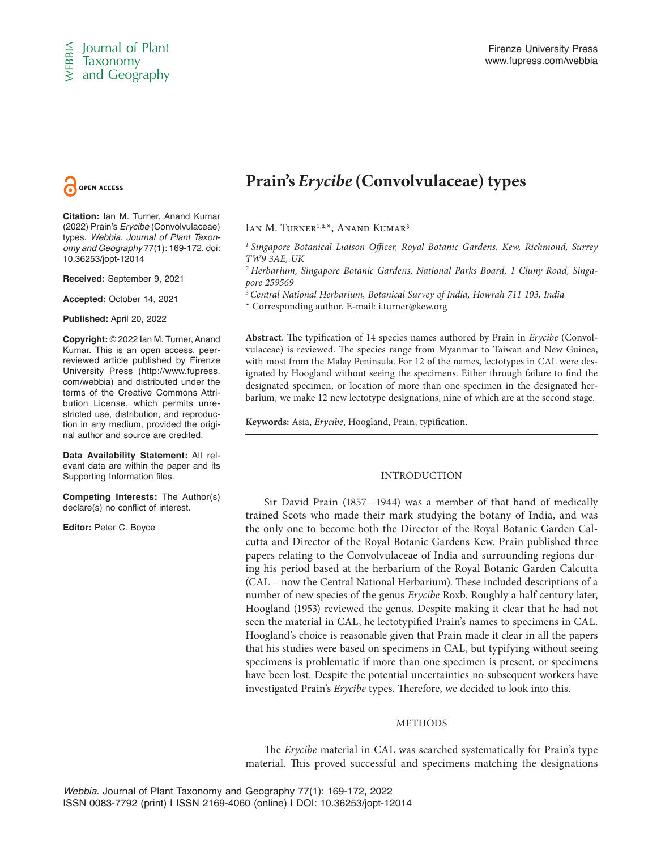

**Citation:** Ian M. Turner, Anand Kumar (2022) Prain's *Erycibe* (Convolvulaceae) types. *Webbia. Journal of Plant Taxonomy and Geography* 77(1): 169-172. doi: 10.36253/jopt-12014

**Received:** September 9, 2021

**Accepted:** October 14, 2021

**Published:** April 20, 2022

**Copyright:** © 2022 Ian M. Turner, Anand Kumar. This is an open access, peerreviewed article published by Firenze University Press (http://www.fupress. com/webbia) and distributed under the terms of the Creative Commons Attribution License, which permits unrestricted use, distribution, and reproduction in any medium, provided the original author and source are credited.

**Data Availability Statement:** All relevant data are within the paper and its Supporting Information files.

**Competing Interests:** The Author(s) declare(s) no conflict of interest.

**Editor:** Peter C. Boyce

# **Prain's** *Erycibe* **(Convolvulaceae) types**

IAN M. TURNER<sup>1,2,\*</sup>, ANAND KUMAR<sup>3</sup>

*1 Singapore Botanical Liaison Officer, Royal Botanic Gardens, Kew, Richmond, Surrey TW9 3AE, UK*

*2 Herbarium, Singapore Botanic Gardens, National Parks Board, 1 Cluny Road, Singapore 259569*

*3 Central National Herbarium, Botanical Survey of India, Howrah 711 103, India*

\* Corresponding author. E-mail: i.turner@kew.org

**Abstract**. The typification of 14 species names authored by Prain in *Erycibe* (Convolvulaceae) is reviewed. The species range from Myanmar to Taiwan and New Guinea, with most from the Malay Peninsula. For 12 of the names, lectotypes in CAL were designated by Hoogland without seeing the specimens. Either through failure to find the designated specimen, or location of more than one specimen in the designated herbarium, we make 12 new lectotype designations, nine of which are at the second stage.

**Keywords:** Asia, *Erycibe*, Hoogland, Prain, typification.

# INTRODUCTION

**C**<br> **C** is olution of Plant<br> **C** interaction (SO22) Prain B-proble (Convolved scores)<br>
(SO22) Prains Erycke (Convolved scores)<br>
(SO22) Prains Erycke (Convolved scores)<br>  $\frac{P}{2}$  (SO22) Prains Erycke (Convolved scores)<br> Sir David Prain (1857—1944) was a member of that band of medically trained Scots who made their mark studying the botany of India, and was the only one to become both the Director of the Royal Botanic Garden Calcutta and Director of the Royal Botanic Gardens Kew. Prain published three papers relating to the Convolvulaceae of India and surrounding regions during his period based at the herbarium of the Royal Botanic Garden Calcutta (CAL – now the Central National Herbarium). These included descriptions of a number of new species of the genus *Erycibe* Roxb. Roughly a half century later, Hoogland (1953) reviewed the genus. Despite making it clear that he had not seen the material in CAL, he lectotypified Prain's names to specimens in CAL. Hoogland's choice is reasonable given that Prain made it clear in all the papers that his studies were based on specimens in CAL, but typifying without seeing specimens is problematic if more than one specimen is present, or specimens have been lost. Despite the potential uncertainties no subsequent workers have investigated Prain's *Erycibe* types. Therefore, we decided to look into this.

# METHODS

The *Erycibe* material in CAL was searched systematically for Prain's type material. This proved successful and specimens matching the designations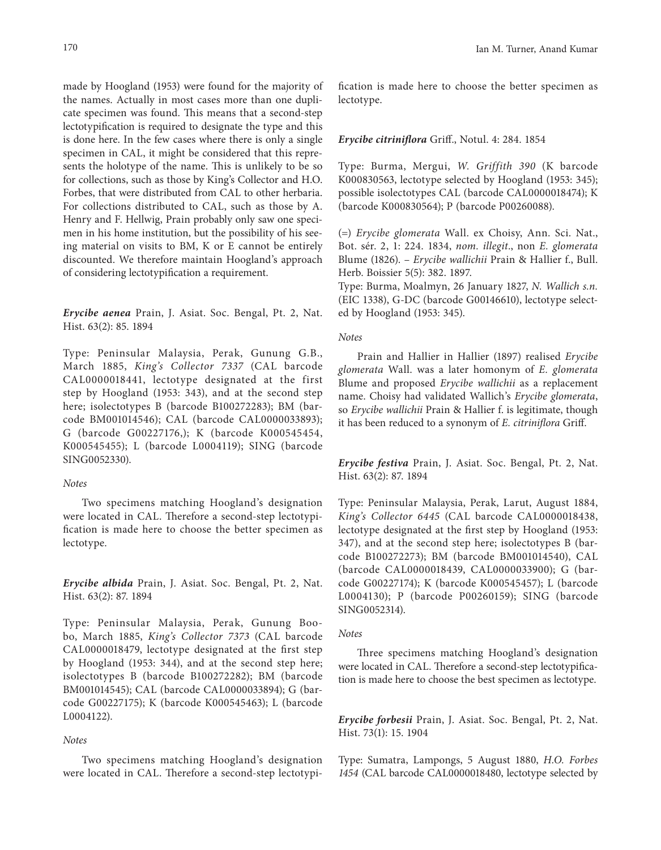made by Hoogland (1953) were found for the majority of the names. Actually in most cases more than one duplicate specimen was found. This means that a second-step lectotypification is required to designate the type and this is done here. In the few cases where there is only a single specimen in CAL, it might be considered that this represents the holotype of the name. This is unlikely to be so for collections, such as those by King's Collector and H.O. Forbes, that were distributed from CAL to other herbaria. For collections distributed to CAL, such as those by A. Henry and F. Hellwig, Prain probably only saw one specimen in his home institution, but the possibility of his seeing material on visits to BM, K or E cannot be entirely discounted. We therefore maintain Hoogland's approach of considering lectotypification a requirement.

*Erycibe aenea* Prain, J. Asiat. Soc. Bengal, Pt. 2, Nat. Hist. 63(2): 85. 1894

Type: Peninsular Malaysia, Perak, Gunung G.B., March 1885, *King's Collector 7337* (CAL barcode CAL0000018441, lectotype designated at the first step by Hoogland (1953: 343), and at the second step here; isolectotypes B (barcode B100272283); BM (barcode BM001014546); CAL (barcode CAL0000033893); G (barcode G00227176,); K (barcode K000545454, K000545455); L (barcode L0004119); SING (barcode SING0052330).

## *Notes*

Two specimens matching Hoogland's designation were located in CAL. Therefore a second-step lectotypification is made here to choose the better specimen as lectotype.

*Erycibe albida* Prain, J. Asiat. Soc. Bengal, Pt. 2, Nat. Hist. 63(2): 87. 1894

Type: Peninsular Malaysia, Perak, Gunung Boobo, March 1885, *King's Collector 7373* (CAL barcode CAL0000018479, lectotype designated at the first step by Hoogland (1953: 344), and at the second step here; isolectotypes B (barcode B100272282); BM (barcode BM001014545); CAL (barcode CAL0000033894); G (barcode G00227175); K (barcode K000545463); L (barcode L0004122).

# *Notes*

Two specimens matching Hoogland's designation were located in CAL. Therefore a second-step lectotypi-

fication is made here to choose the better specimen as lectotype.

#### *Erycibe citriniflora* Griff., Notul. 4: 284. 1854

Type: Burma, Mergui, *W. Griffith 390* (K barcode K000830563, lectotype selected by Hoogland (1953: 345); possible isolectotypes CAL (barcode CAL0000018474); K (barcode K000830564); P (barcode P00260088).

(=) *Erycibe glomerata* Wall. ex Choisy, Ann. Sci. Nat., Bot. sér. 2, 1: 224. 1834, *nom. illegit*., non *E. glomerata* Blume (1826). – *Erycibe wallichii* Prain & Hallier f., Bull. Herb. Boissier 5(5): 382. 1897.

Type: Burma, Moalmyn, 26 January 1827, *N. Wallich s.n.* (EIC 1338), G-DC (barcode G00146610), lectotype selected by Hoogland (1953: 345).

## *Notes*

Prain and Hallier in Hallier (1897) realised *Erycibe glomerata* Wall. was a later homonym of *E. glomerata* Blume and proposed *Erycibe wallichii* as a replacement name. Choisy had validated Wallich's *Erycibe glomerata*, so *Erycibe wallichii* Prain & Hallier f. is legitimate, though it has been reduced to a synonym of *E. citriniflora* Griff.

*Erycibe festiva* Prain, J. Asiat. Soc. Bengal, Pt. 2, Nat. Hist. 63(2): 87. 1894

Type: Peninsular Malaysia, Perak, Larut, August 1884, *King's Collector 6445* (CAL barcode CAL0000018438, lectotype designated at the first step by Hoogland (1953: 347), and at the second step here; isolectotypes B (barcode B100272273); BM (barcode BM001014540), CAL (barcode CAL0000018439, CAL0000033900); G (barcode G00227174); K (barcode K000545457); L (barcode L0004130); P (barcode P00260159); SING (barcode SING0052314).

## *Notes*

Three specimens matching Hoogland's designation were located in CAL. Therefore a second-step lectotypification is made here to choose the best specimen as lectotype.

*Erycibe forbesii* Prain, J. Asiat. Soc. Bengal, Pt. 2, Nat. Hist. 73(1): 15. 1904

Type: Sumatra, Lampongs, 5 August 1880, *H.O. Forbes 1454* (CAL barcode CAL0000018480, lectotype selected by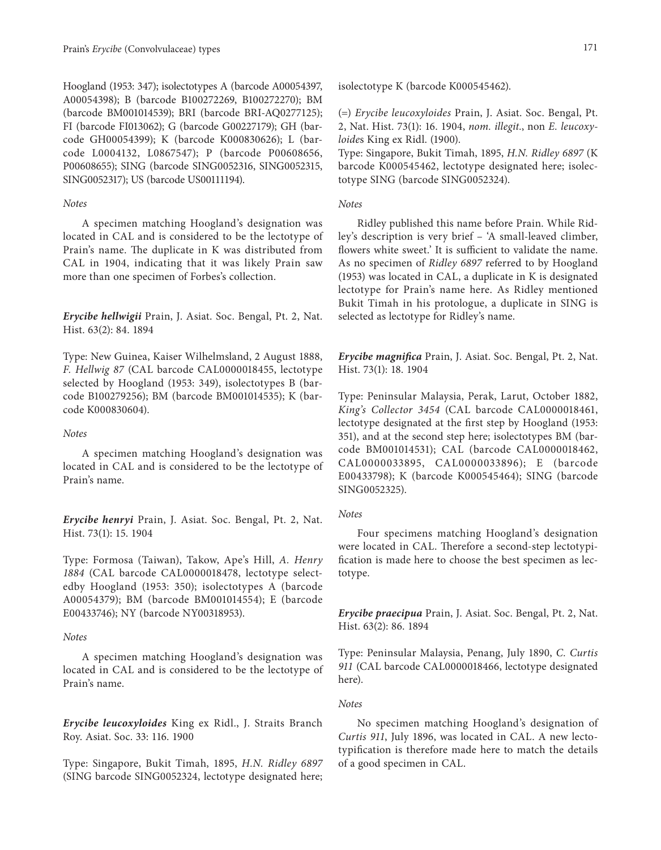Hoogland (1953: 347); isolectotypes A (barcode A00054397, A00054398); B (barcode B100272269, B100272270); BM (barcode BM001014539); BRI (barcode BRI-AQ0277125); FI (barcode FI013062); G (barcode G00227179); GH (barcode GH00054399); K (barcode K000830626); L (barcode L0004132, L0867547); P (barcode P00608656, P00608655); SING (barcode SING0052316, SING0052315, SING0052317); US (barcode US00111194).

#### *Notes*

A specimen matching Hoogland's designation was located in CAL and is considered to be the lectotype of Prain's name. The duplicate in K was distributed from CAL in 1904, indicating that it was likely Prain saw more than one specimen of Forbes's collection.

*Erycibe hellwigii* Prain, J. Asiat. Soc. Bengal, Pt. 2, Nat. Hist. 63(2): 84. 1894

Type: New Guinea, Kaiser Wilhelmsland, 2 August 1888, *F. Hellwig 87* (CAL barcode CAL0000018455, lectotype selected by Hoogland (1953: 349), isolectotypes B (barcode B100279256); BM (barcode BM001014535); K (barcode K000830604).

# *Notes*

A specimen matching Hoogland's designation was located in CAL and is considered to be the lectotype of Prain's name.

*Erycibe henryi* Prain, J. Asiat. Soc. Bengal, Pt. 2, Nat. Hist. 73(1): 15. 1904

Type: Formosa (Taiwan), Takow, Ape's Hill, *A. Henry 1884* (CAL barcode CAL0000018478, lectotype selectedby Hoogland (1953: 350); isolectotypes A (barcode A00054379); BM (barcode BM001014554); E (barcode E00433746); NY (barcode NY00318953).

## *Notes*

A specimen matching Hoogland's designation was located in CAL and is considered to be the lectotype of Prain's name.

*Erycibe leucoxyloides* King ex Ridl., J. Straits Branch Roy. Asiat. Soc. 33: 116. 1900

Type: Singapore, Bukit Timah, 1895, *H.N. Ridley 6897* (SING barcode SING0052324, lectotype designated here; isolectotype K (barcode K000545462).

(=) *Erycibe leucoxyloides* Prain, J. Asiat. Soc. Bengal, Pt. 2, Nat. Hist. 73(1): 16. 1904, *nom. illegit.*, non *E. leucoxyloide*s King ex Ridl. (1900).

Type: Singapore, Bukit Timah, 1895, *H.N. Ridley 6897* (K barcode K000545462, lectotype designated here; isolectotype SING (barcode SING0052324).

## *Notes*

Ridley published this name before Prain. While Ridley's description is very brief – 'A small-leaved climber, flowers white sweet.' It is sufficient to validate the name. As no specimen of *Ridley 6897* referred to by Hoogland (1953) was located in CAL, a duplicate in K is designated lectotype for Prain's name here. As Ridley mentioned Bukit Timah in his protologue, a duplicate in SING is selected as lectotype for Ridley's name.

*Erycibe magnifica* Prain, J. Asiat. Soc. Bengal, Pt. 2, Nat. Hist. 73(1): 18. 1904

Type: Peninsular Malaysia, Perak, Larut, October 1882, *King's Collector 3454* (CAL barcode CAL0000018461, lectotype designated at the first step by Hoogland (1953: 351), and at the second step here; isolectotypes BM (barcode BM001014531); CAL (barcode CAL0000018462, CAL0000033895, CAL0000033896); E (barcode E00433798); K (barcode K000545464); SING (barcode SING0052325).

## *Notes*

Four specimens matching Hoogland's designation were located in CAL. Therefore a second-step lectotypification is made here to choose the best specimen as lectotype.

*Erycibe praecipua* Prain, J. Asiat. Soc. Bengal, Pt. 2, Nat. Hist. 63(2): 86. 1894

Type: Peninsular Malaysia, Penang, July 1890, *C. Curtis 911* (CAL barcode CAL0000018466, lectotype designated here).

## *Notes*

No specimen matching Hoogland's designation of *Curtis 911*, July 1896, was located in CAL. A new lectotypification is therefore made here to match the details of a good specimen in CAL.